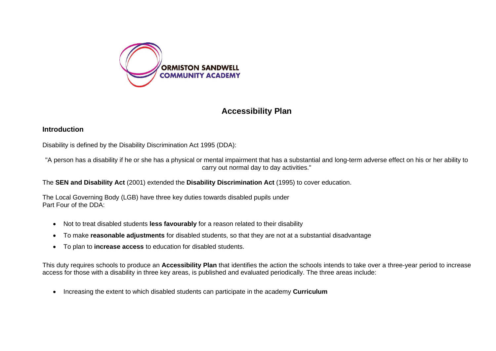

# **Accessibility Plan**

#### **Introduction**

Disability is defined by the Disability Discrimination Act 1995 (DDA):

"A person has a disability if he or she has a physical or mental impairment that has a substantial and long-term adverse effect on his or her ability to carry out normal day to day activities."

The **SEN and Disability Act** (2001) extended the **Disability Discrimination Act** (1995) to cover education.

The Local Governing Body (LGB) have three key duties towards disabled pupils under Part Four of the DDA:

- Not to treat disabled students **less favourably** for a reason related to their disability
- To make **reasonable adjustments** for disabled students, so that they are not at a substantial disadvantage
- To plan to **increase access** to education for disabled students.

This duty requires schools to produce an **Accessibility Plan** that identifies the action the schools intends to take over a three-year period to increase access for those with a disability in three key areas, is published and evaluated periodically. The three areas include:

• Increasing the extent to which disabled students can participate in the academy **Curriculum**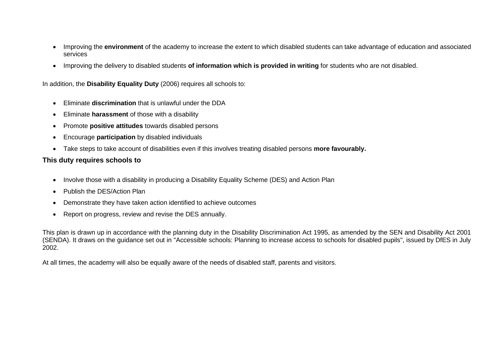- Improving the **environment** of the academy to increase the extent to which disabled students can take advantage of education and associated services
- Improving the delivery to disabled students **of information which is provided in writing** for students who are not disabled.

In addition, the **Disability Equality Duty** (2006) requires all schools to:

- Eliminate **discrimination** that is unlawful under the DDA
- Eliminate **harassment** of those with a disability
- Promote **positive attitudes** towards disabled persons
- Encourage **participation** by disabled individuals
- Take steps to take account of disabilities even if this involves treating disabled persons **more favourably.**

## **This duty requires schools to**

- Involve those with a disability in producing a Disability Equality Scheme (DES) and Action Plan
- Publish the DES/Action Plan
- Demonstrate they have taken action identified to achieve outcomes
- Report on progress, review and revise the DES annually.

This plan is drawn up in accordance with the planning duty in the Disability Discrimination Act 1995, as amended by the SEN and Disability Act 2001 (SENDA). It draws on the guidance set out in "Accessible schools: Planning to increase access to schools for disabled pupils", issued by DfES in July 2002.

At all times, the academy will also be equally aware of the needs of disabled staff, parents and visitors.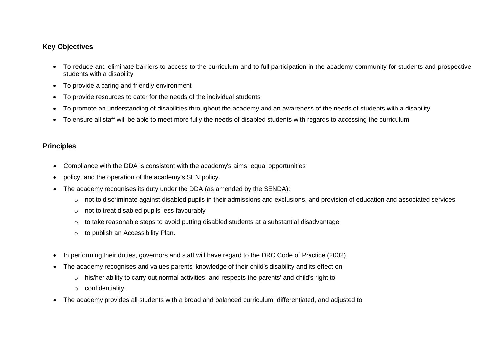## **Key Objectives**

- To reduce and eliminate barriers to access to the curriculum and to full participation in the academy community for students and prospective students with a disability
- To provide a caring and friendly environment
- To provide resources to cater for the needs of the individual students
- To promote an understanding of disabilities throughout the academy and an awareness of the needs of students with a disability
- To ensure all staff will be able to meet more fully the needs of disabled students with regards to accessing the curriculum

#### **Principles**

- Compliance with the DDA is consistent with the academy's aims, equal opportunities
- policy, and the operation of the academy's SEN policy.
- The academy recognises its duty under the DDA (as amended by the SENDA):
	- o not to discriminate against disabled pupils in their admissions and exclusions, and provision of education and associated services
	- o not to treat disabled pupils less favourably
	- o to take reasonable steps to avoid putting disabled students at a substantial disadvantage
	- o to publish an Accessibility Plan.
- In performing their duties, governors and staff will have regard to the DRC Code of Practice (2002).
- The academy recognises and values parents' knowledge of their child's disability and its effect on
	- o his/her ability to carry out normal activities, and respects the parents' and child's right to
	- o confidentiality.
- The academy provides all students with a broad and balanced curriculum, differentiated, and adjusted to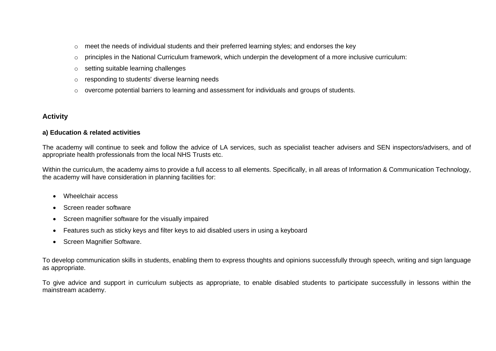- $\circ$  meet the needs of individual students and their preferred learning styles; and endorses the key
- $\circ$  principles in the National Curriculum framework, which underpin the development of a more inclusive curriculum:
- o setting suitable learning challenges
- o responding to students' diverse learning needs
- o overcome potential barriers to learning and assessment for individuals and groups of students.

### **Activity**

#### **a) Education & related activities**

The academy will continue to seek and follow the advice of LA services, such as specialist teacher advisers and SEN inspectors/advisers, and of appropriate health professionals from the local NHS Trusts etc.

Within the curriculum, the academy aims to provide a full access to all elements. Specifically, in all areas of Information & Communication Technology, the academy will have consideration in planning facilities for:

- Wheelchair access
- Screen reader software
- Screen magnifier software for the visually impaired
- Features such as sticky keys and filter keys to aid disabled users in using a keyboard
- Screen Magnifier Software.

To develop communication skills in students, enabling them to express thoughts and opinions successfully through speech, writing and sign language as appropriate.

To give advice and support in curriculum subjects as appropriate, to enable disabled students to participate successfully in lessons within the mainstream academy.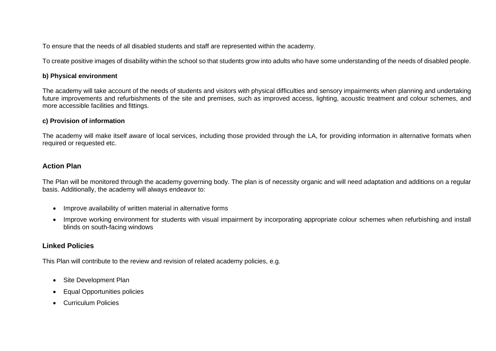To ensure that the needs of all disabled students and staff are represented within the academy.

To create positive images of disability within the school so that students grow into adults who have some understanding of the needs of disabled people.

#### **b) Physical environment**

The academy will take account of the needs of students and visitors with physical difficulties and sensory impairments when planning and undertaking future improvements and refurbishments of the site and premises, such as improved access, lighting, acoustic treatment and colour schemes, and more accessible facilities and fittings.

#### **c) Provision of information**

The academy will make itself aware of local services, including those provided through the LA, for providing information in alternative formats when required or requested etc.

#### **Action Plan**

The Plan will be monitored through the academy governing body. The plan is of necessity organic and will need adaptation and additions on a regular basis. Additionally, the academy will always endeavor to:

- Improve availability of written material in alternative forms
- Improve working environment for students with visual impairment by incorporating appropriate colour schemes when refurbishing and install blinds on south-facing windows

## **Linked Policies**

This Plan will contribute to the review and revision of related academy policies, e.g.

- Site Development Plan
- Equal Opportunities policies
- Curriculum Policies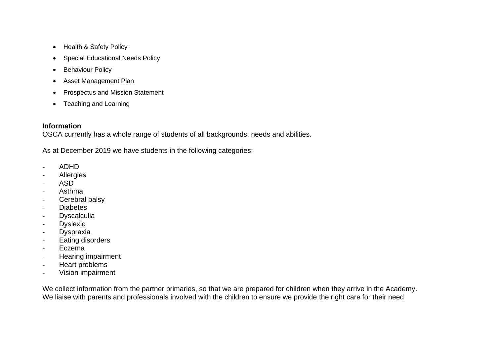- Health & Safety Policy
- Special Educational Needs Policy
- Behaviour Policy
- Asset Management Plan
- Prospectus and Mission Statement
- Teaching and Learning

## **Information**

OSCA currently has a whole range of students of all backgrounds, needs and abilities.

As at December 2019 we have students in the following categories:

- ADHD
- Allergies
- ASD
- Asthma
- Cerebral palsy
- Diabetes
- **Dyscalculia**
- **Dyslexic**
- Dyspraxia
- Eating disorders
- Eczema
- Hearing impairment
- Heart problems
- Vision impairment

We collect information from the partner primaries, so that we are prepared for children when they arrive in the Academy. We liaise with parents and professionals involved with the children to ensure we provide the right care for their need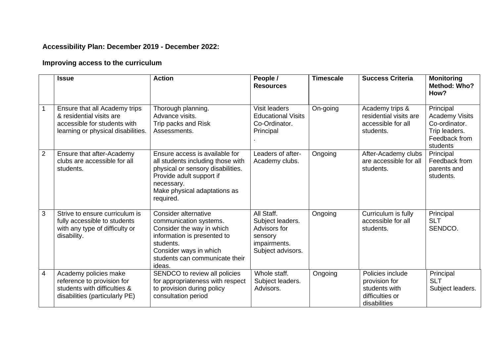# **Accessibility Plan: December 2019 - December 2022:**

# **Improving access to the curriculum**

|                | <b>Issue</b>                                                                                                                    | <b>Action</b>                                                                                                                                                                                   | People /<br><b>Resources</b>                                                                   | <b>Timescale</b> | <b>Success Criteria</b>                                                               | <b>Monitoring</b><br>Method: Who?<br>How?                                                         |
|----------------|---------------------------------------------------------------------------------------------------------------------------------|-------------------------------------------------------------------------------------------------------------------------------------------------------------------------------------------------|------------------------------------------------------------------------------------------------|------------------|---------------------------------------------------------------------------------------|---------------------------------------------------------------------------------------------------|
|                | Ensure that all Academy trips<br>& residential visits are<br>accessible for students with<br>learning or physical disabilities. | Thorough planning.<br>Advance visits.<br>Trip packs and Risk<br>Assessments.                                                                                                                    | Visit leaders<br><b>Educational Visits</b><br>Co-Ordinator.<br>Principal                       | On-going         | Academy trips &<br>residential visits are<br>accessible for all<br>students.          | Principal<br><b>Academy Visits</b><br>Co-ordinator.<br>Trip leaders.<br>Feedback from<br>students |
| $\overline{2}$ | Ensure that after-Academy<br>clubs are accessible for all<br>students.                                                          | Ensure access is available for<br>all students including those with<br>physical or sensory disabilities.<br>Provide adult support if<br>necessary.<br>Make physical adaptations as<br>required. | Leaders of after-<br>Academy clubs.                                                            | Ongoing          | After-Academy clubs<br>are accessible for all<br>students.                            | Principal<br>Feedback from<br>parents and<br>students.                                            |
| 3              | Strive to ensure curriculum is<br>fully accessible to students<br>with any type of difficulty or<br>disability.                 | Consider alternative<br>communication systems.<br>Consider the way in which<br>information is presented to<br>students.<br>Consider ways in which<br>students can communicate their<br>ideas.   | All Staff.<br>Subject leaders.<br>Advisors for<br>sensory<br>impairments.<br>Subject advisors. | Ongoing          | Curriculum is fully<br>accessible for all<br>students.                                | Principal<br><b>SLT</b><br>SENDCO.                                                                |
| 4              | Academy policies make<br>reference to provision for<br>students with difficulties &<br>disabilities (particularly PE)           | SENDCO to review all policies<br>for appropriateness with respect<br>to provision during policy<br>consultation period                                                                          | Whole staff.<br>Subject leaders.<br>Advisors.                                                  | Ongoing          | Policies include<br>provision for<br>students with<br>difficulties or<br>disabilities | Principal<br><b>SLT</b><br>Subject leaders.                                                       |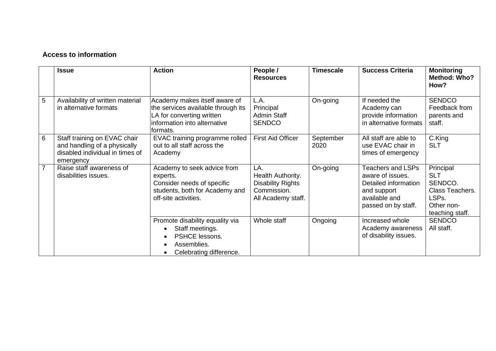## **Access to information**

|                | <b>Issue</b>                                                                                                 | <b>Action</b>                                                                                                                                                      | People /<br><b>Resources</b>                                                              | <b>Timescale</b>  | <b>Success Criteria</b>                                                                                                     | <b>Monitoring</b><br>Method: Who?<br>How?                                                       |
|----------------|--------------------------------------------------------------------------------------------------------------|--------------------------------------------------------------------------------------------------------------------------------------------------------------------|-------------------------------------------------------------------------------------------|-------------------|-----------------------------------------------------------------------------------------------------------------------------|-------------------------------------------------------------------------------------------------|
| 5              | Availability of written material<br>in alternative formats                                                   | Academy makes itself aware of<br>the services available through its<br>LA for converting written<br>information into alternative<br>lformats.                      | L.A.<br>Principal<br><b>Admin Staff</b><br><b>SENDCO</b>                                  | On-going          | If needed the<br>Academy can<br>provide information<br>in alternative formats                                               | <b>SENDCO</b><br>Feedback from<br>parents and<br>staff.                                         |
| 6              | Staff training on EVAC chair<br>and handling of a physically<br>disabled individual in times of<br>emergency | EVAC training programme rolled<br>out to all staff across the<br>Academy                                                                                           | <b>First Aid Officer</b>                                                                  | September<br>2020 | All staff are able to<br>use EVAC chair in<br>times of emergency                                                            | C.King<br><b>SLT</b>                                                                            |
| $\overline{7}$ | Raise staff awareness of<br>disabilities issues.                                                             | Academy to seek advice from<br>experts.<br>Consider needs of specific<br>students, both for Academy and<br>off-site activities.                                    | LA.<br>Health Authority.<br><b>Disability Rights</b><br>Commission.<br>All Academy staff. | On-going          | <b>Teachers and LSPs</b><br>aware of issues.<br>Detailed information<br>and support<br>available and<br>passed on by staff. | Principal<br><b>SLT</b><br>SENDCO.<br>Class Teachers.<br>LSPs.<br>Other non-<br>teaching staff. |
|                |                                                                                                              | Promote disability equality via<br>Staff meetings.<br>$\bullet$<br>PSHCE lessons.<br>$\bullet$<br>Assemblies.<br>$\bullet$<br>Celebrating difference.<br>$\bullet$ | Whole staff                                                                               | Ongoing           | Increased whole<br>Academy awareness<br>of disability issues.                                                               | <b>SENDCO</b><br>All staff.                                                                     |